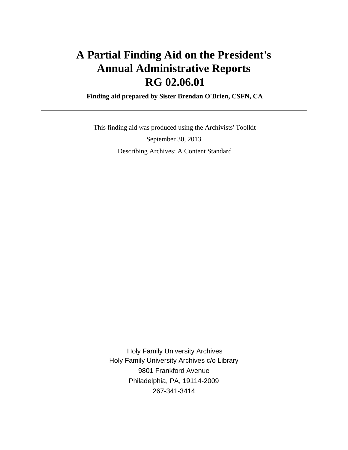# **A Partial Finding Aid on the President's Annual Administrative Reports RG 02.06.01**

 **Finding aid prepared by Sister Brendan O'Brien, CSFN, CA**

 This finding aid was produced using the Archivists' Toolkit September 30, 2013 Describing Archives: A Content Standard

 Holy Family University Archives Holy Family University Archives c/o Library 9801 Frankford Avenue Philadelphia, PA, 19114-2009 267-341-3414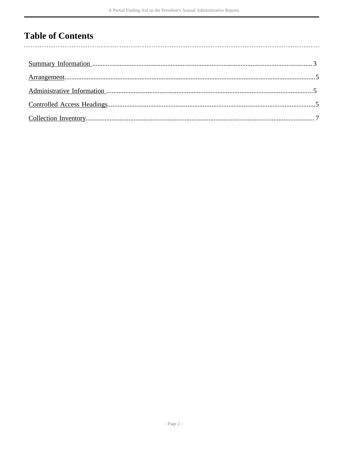# **Table of Contents**

 $\overline{\phantom{a}}$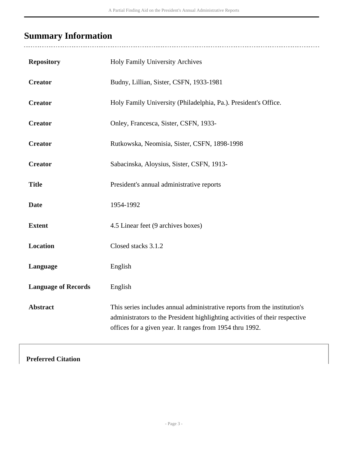# <span id="page-2-0"></span>**Summary Information**

 $\overline{a}$ 

| <b>Repository</b>          | Holy Family University Archives                                                                                                                                                                                      |
|----------------------------|----------------------------------------------------------------------------------------------------------------------------------------------------------------------------------------------------------------------|
| <b>Creator</b>             | Budny, Lillian, Sister, CSFN, 1933-1981                                                                                                                                                                              |
| <b>Creator</b>             | Holy Family University (Philadelphia, Pa.). President's Office.                                                                                                                                                      |
| <b>Creator</b>             | Onley, Francesca, Sister, CSFN, 1933-                                                                                                                                                                                |
| <b>Creator</b>             | Rutkowska, Neomisia, Sister, CSFN, 1898-1998                                                                                                                                                                         |
| <b>Creator</b>             | Sabacinska, Aloysius, Sister, CSFN, 1913-                                                                                                                                                                            |
| <b>Title</b>               | President's annual administrative reports                                                                                                                                                                            |
| <b>Date</b>                | 1954-1992                                                                                                                                                                                                            |
| <b>Extent</b>              | 4.5 Linear feet (9 archives boxes)                                                                                                                                                                                   |
| <b>Location</b>            | Closed stacks 3.1.2                                                                                                                                                                                                  |
| Language                   | English                                                                                                                                                                                                              |
| <b>Language of Records</b> | English                                                                                                                                                                                                              |
| <b>Abstract</b>            | This series includes annual administrative reports from the institution's<br>administrators to the President highlighting activities of their respective<br>offices for a given year. It ranges from 1954 thru 1992. |

### **Preferred Citation**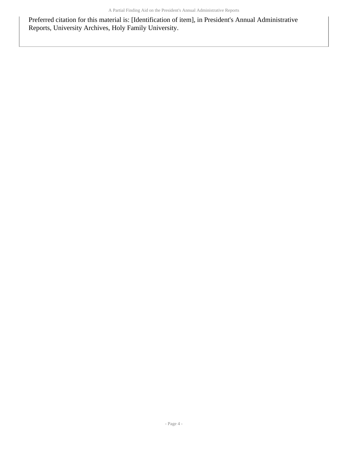Preferred citation for this material is: [Identification of item], in President's Annual Administrative Reports, University Archives, Holy Family University.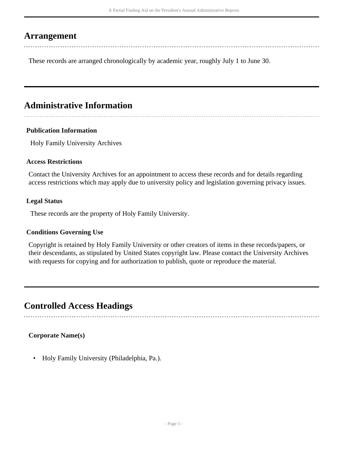## <span id="page-4-0"></span>**Arrangement**

These records are arranged chronologically by academic year, roughly July 1 to June 30.

# <span id="page-4-1"></span>**Administrative Information**

#### **Publication Information**

Holy Family University Archives

#### **Access Restrictions**

Contact the University Archives for an appointment to access these records and for details regarding access restrictions which may apply due to university policy and legislation governing privacy issues.

#### **Legal Status**

These records are the property of Holy Family University.

#### **Conditions Governing Use**

Copyright is retained by Holy Family University or other creators of items in these records/papers, or their descendants, as stipulated by United States copyright law. Please contact the University Archives with requests for copying and for authorization to publish, quote or reproduce the material.

## <span id="page-4-2"></span>**Controlled Access Headings**

#### **Corporate Name(s)**

• Holy Family University (Philadelphia, Pa.).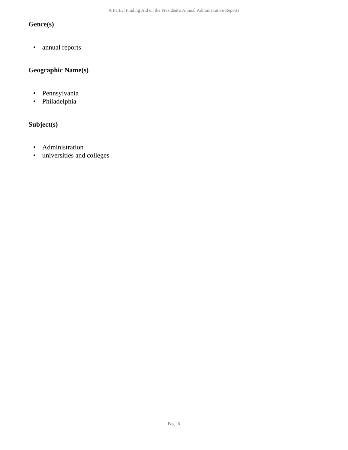## **Genre(s)**

• annual reports

### **Geographic Name(s)**

- Pennsylvania
- Philadelphia

### **Subject(s)**

- Administration
- universities and colleges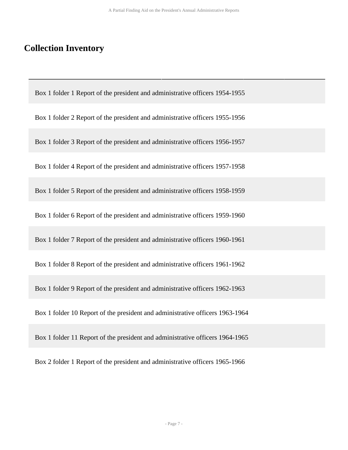## <span id="page-6-0"></span>**Collection Inventory**

Box 1 folder 1 Report of the president and administrative officers 1954-1955

Box 1 folder 2 Report of the president and administrative officers 1955-1956

Box 1 folder 3 Report of the president and administrative officers 1956-1957

Box 1 folder 4 Report of the president and administrative officers 1957-1958

Box 1 folder 5 Report of the president and administrative officers 1958-1959

Box 1 folder 6 Report of the president and administrative officers 1959-1960

Box 1 folder 7 Report of the president and administrative officers 1960-1961

Box 1 folder 8 Report of the president and administrative officers 1961-1962

Box 1 folder 9 Report of the president and administrative officers 1962-1963

Box 1 folder 10 Report of the president and administrative officers 1963-1964

Box 1 folder 11 Report of the president and administrative officers 1964-1965

Box 2 folder 1 Report of the president and administrative officers 1965-1966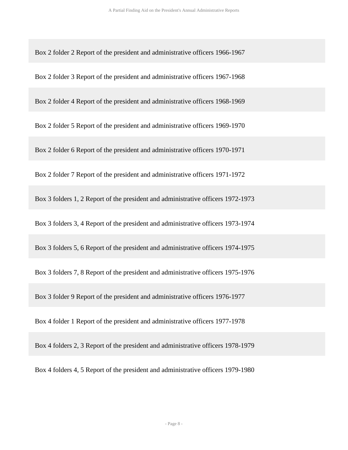Box 2 folder 2 Report of the president and administrative officers 1966-1967

Box 2 folder 3 Report of the president and administrative officers 1967-1968

Box 2 folder 4 Report of the president and administrative officers 1968-1969

Box 2 folder 5 Report of the president and administrative officers 1969-1970

Box 2 folder 6 Report of the president and administrative officers 1970-1971

Box 2 folder 7 Report of the president and administrative officers 1971-1972

Box 3 folders 1, 2 Report of the president and administrative officers 1972-1973

Box 3 folders 3, 4 Report of the president and administrative officers 1973-1974

Box 3 folders 5, 6 Report of the president and administrative officers 1974-1975

Box 3 folders 7, 8 Report of the president and administrative officers 1975-1976

Box 3 folder 9 Report of the president and administrative officers 1976-1977

Box 4 folder 1 Report of the president and administrative officers 1977-1978

Box 4 folders 2, 3 Report of the president and administrative officers 1978-1979

Box 4 folders 4, 5 Report of the president and administrative officers 1979-1980